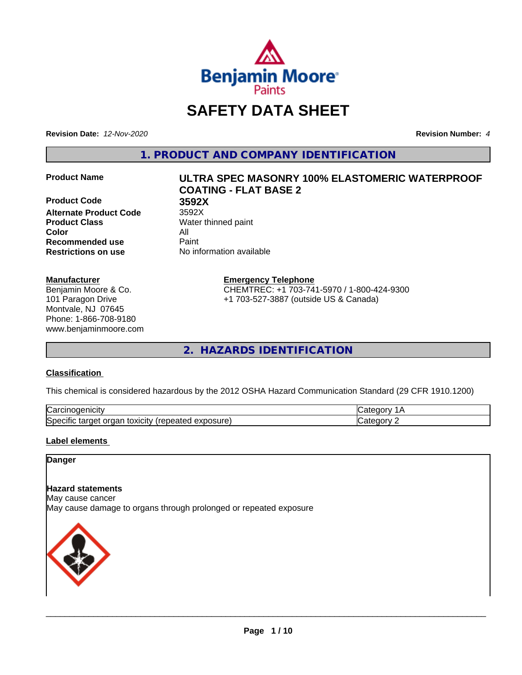

# **SAFETY DATA SHEET**

**Revision Date:** *12-Nov-2020* **Revision Number:** *4*

**1. PRODUCT AND COMPANY IDENTIFICATION**

**Product Code 3592X Alternate Product Code** 3592X **Product Class** Water thinned paint **Color** All **Recommended use** Paint **Restrictions on use** No information available

### **Manufacturer**

Benjamin Moore & Co. 101 Paragon Drive Montvale, NJ 07645 Phone: 1-866-708-9180 www.benjaminmoore.com

# **Product Name ULTRA SPEC MASONRY 100% ELASTOMERIC WATERPROOF COATING - FLAT BASE 2**

**Emergency Telephone**

CHEMTREC: +1 703-741-5970 / 1-800-424-9300 +1 703-527-3887 (outside US & Canada)

**2. HAZARDS IDENTIFICATION**

### **Classification**

This chemical is considered hazardous by the 2012 OSHA Hazard Communication Standard (29 CFR 1910.1200)

| ⌒<br>.<br>"Jarc™<br>пісн<br>…u⊔∪∪ ≔                                                 | ----     |
|-------------------------------------------------------------------------------------|----------|
| exposure<br>. .<br>toxicity<br>50e<br>ordar<br>arger :<br>энк<br>.<br>calcu<br>50.U | ----<br> |

### **Label elements**

### **Danger**

### **Hazard statements**

May cause cancer

May cause damage to organs through prolonged or repeated exposure

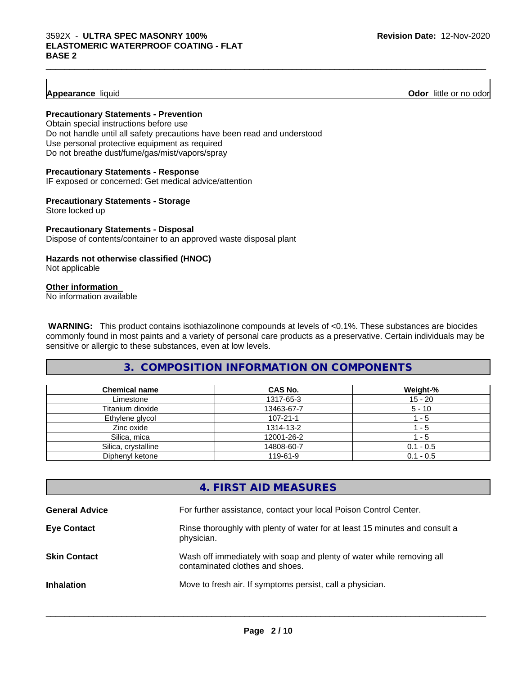### **Appearance** liquid **Odor 11** and **Odor 11** and **Odor 11** and **Odor 11** and **Odor 11** and **Odor 11** and **Odor** 11 and **Odor** 11 and **Odor** 11 and **Odor** 11 and **Odor** 11 and **Odor** 11 and **Odor** 11 and **Odor** 11 and **Odor**

### **Precautionary Statements - Prevention**

Obtain special instructions before use Do not handle until all safety precautions have been read and understood Use personal protective equipment as required Do not breathe dust/fume/gas/mist/vapors/spray

### **Precautionary Statements - Response**

IF exposed or concerned: Get medical advice/attention

### **Precautionary Statements - Storage**

Store locked up

### **Precautionary Statements - Disposal** Dispose of contents/container to an approved waste disposal plant

### **Hazards not otherwise classified (HNOC)**

Not applicable

### **Other information**

No information available

 **WARNING:** This product contains isothiazolinone compounds at levels of <0.1%. These substances are biocides commonly found in most paints and a variety of personal care products as a preservative. Certain individuals may be sensitive or allergic to these substances, even at low levels.

 $\_$  ,  $\_$  ,  $\_$  ,  $\_$  ,  $\_$  ,  $\_$  ,  $\_$  ,  $\_$  ,  $\_$  ,  $\_$  ,  $\_$  ,  $\_$  ,  $\_$  ,  $\_$  ,  $\_$  ,  $\_$  ,  $\_$  ,  $\_$  ,  $\_$  ,  $\_$  ,  $\_$  ,  $\_$  ,  $\_$  ,  $\_$  ,  $\_$  ,  $\_$  ,  $\_$  ,  $\_$  ,  $\_$  ,  $\_$  ,  $\_$  ,  $\_$  ,  $\_$  ,  $\_$  ,  $\_$  ,  $\_$  ,  $\_$  ,

### **3. COMPOSITION INFORMATION ON COMPONENTS**

| <b>Chemical name</b> | <b>CAS No.</b> | Weight-%    |
|----------------------|----------------|-------------|
| Limestone            | 1317-65-3      | $15 - 20$   |
| Titanium dioxide     | 13463-67-7     | $5 - 10$    |
| Ethylene glycol      | $107 - 21 - 1$ | - 5         |
| Zinc oxide           | 1314-13-2      | - 5         |
| Silica, mica         | 12001-26-2     | - 5         |
| Silica, crystalline  | 14808-60-7     | $0.1 - 0.5$ |
| Diphenyl ketone      | 119-61-9       | $0.1 - 0.5$ |

### **4. FIRST AID MEASURES**

| <b>General Advice</b> | For further assistance, contact your local Poison Control Center.                                        |
|-----------------------|----------------------------------------------------------------------------------------------------------|
| <b>Eye Contact</b>    | Rinse thoroughly with plenty of water for at least 15 minutes and consult a<br>physician.                |
| <b>Skin Contact</b>   | Wash off immediately with soap and plenty of water while removing all<br>contaminated clothes and shoes. |
| <b>Inhalation</b>     | Move to fresh air. If symptoms persist, call a physician.                                                |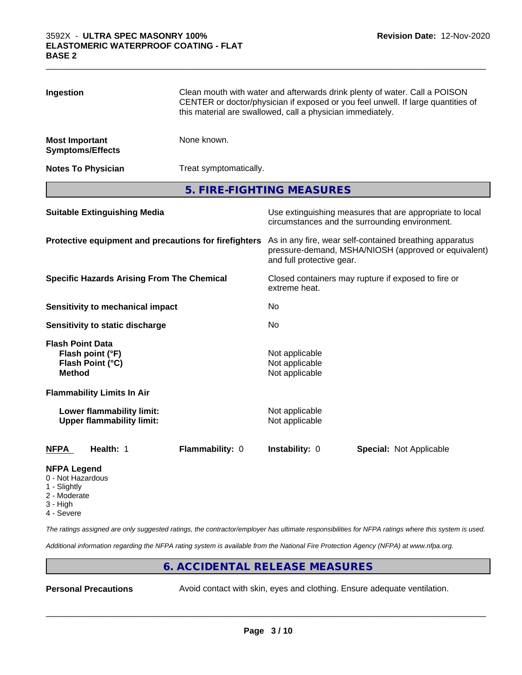| Ingestion                                             |                                                               | Clean mouth with water and afterwards drink plenty of water. Call a POISON<br>CENTER or doctor/physician if exposed or you feel unwell. If large quantities of<br>this material are swallowed, call a physician immediately. |                                                    |                                |  |  |
|-------------------------------------------------------|---------------------------------------------------------------|------------------------------------------------------------------------------------------------------------------------------------------------------------------------------------------------------------------------------|----------------------------------------------------|--------------------------------|--|--|
| <b>Most Important</b>                                 | <b>Symptoms/Effects</b>                                       | None known.                                                                                                                                                                                                                  |                                                    |                                |  |  |
|                                                       | <b>Notes To Physician</b>                                     | Treat symptomatically.                                                                                                                                                                                                       |                                                    |                                |  |  |
|                                                       |                                                               | 5. FIRE-FIGHTING MEASURES                                                                                                                                                                                                    |                                                    |                                |  |  |
| <b>Suitable Extinguishing Media</b>                   |                                                               | Use extinguishing measures that are appropriate to local<br>circumstances and the surrounding environment.                                                                                                                   |                                                    |                                |  |  |
| Protective equipment and precautions for firefighters |                                                               | As in any fire, wear self-contained breathing apparatus<br>pressure-demand, MSHA/NIOSH (approved or equivalent)<br>and full protective gear.                                                                                 |                                                    |                                |  |  |
| <b>Specific Hazards Arising From The Chemical</b>     |                                                               | Closed containers may rupture if exposed to fire or<br>extreme heat.                                                                                                                                                         |                                                    |                                |  |  |
|                                                       | Sensitivity to mechanical impact                              |                                                                                                                                                                                                                              | No                                                 |                                |  |  |
|                                                       | Sensitivity to static discharge                               |                                                                                                                                                                                                                              | No                                                 |                                |  |  |
| <b>Flash Point Data</b><br><b>Method</b>              | Flash point (°F)<br>Flash Point (°C)                          |                                                                                                                                                                                                                              | Not applicable<br>Not applicable<br>Not applicable |                                |  |  |
|                                                       | <b>Flammability Limits In Air</b>                             |                                                                                                                                                                                                                              |                                                    |                                |  |  |
|                                                       | Lower flammability limit:<br><b>Upper flammability limit:</b> |                                                                                                                                                                                                                              | Not applicable<br>Not applicable                   |                                |  |  |
| <b>NFPA</b>                                           | Health: 1                                                     | Flammability: 0                                                                                                                                                                                                              | Instability: 0                                     | <b>Special: Not Applicable</b> |  |  |
| <b>NFPA Legend</b><br>0 - Not Hazardous               |                                                               |                                                                                                                                                                                                                              |                                                    |                                |  |  |

 $\_$  ,  $\_$  ,  $\_$  ,  $\_$  ,  $\_$  ,  $\_$  ,  $\_$  ,  $\_$  ,  $\_$  ,  $\_$  ,  $\_$  ,  $\_$  ,  $\_$  ,  $\_$  ,  $\_$  ,  $\_$  ,  $\_$  ,  $\_$  ,  $\_$  ,  $\_$  ,  $\_$  ,  $\_$  ,  $\_$  ,  $\_$  ,  $\_$  ,  $\_$  ,  $\_$  ,  $\_$  ,  $\_$  ,  $\_$  ,  $\_$  ,  $\_$  ,  $\_$  ,  $\_$  ,  $\_$  ,  $\_$  ,  $\_$  ,

- 1 Slightly
- 2 Moderate
- 3 High
- 4 Severe

*The ratings assigned are only suggested ratings, the contractor/employer has ultimate responsibilities for NFPA ratings where this system is used.*

*Additional information regarding the NFPA rating system is available from the National Fire Protection Agency (NFPA) at www.nfpa.org.*

### **6. ACCIDENTAL RELEASE MEASURES**

**Personal Precautions** Avoid contact with skin, eyes and clothing. Ensure adequate ventilation.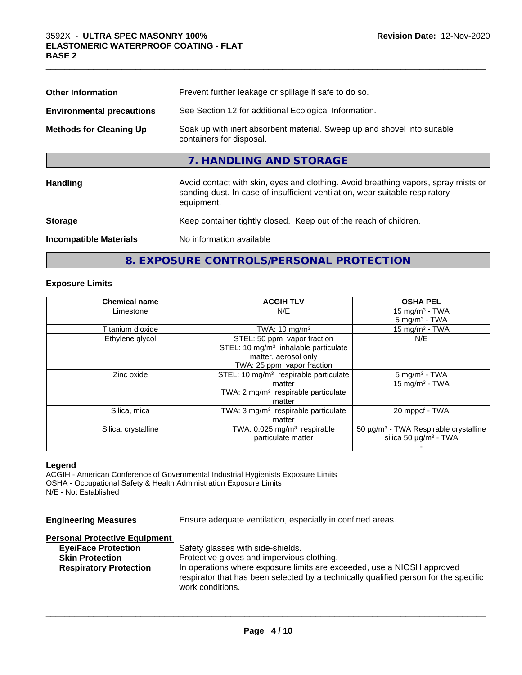| <b>Other Information</b>         | Prevent further leakage or spillage if safe to do so.                                                                                                                            |
|----------------------------------|----------------------------------------------------------------------------------------------------------------------------------------------------------------------------------|
| <b>Environmental precautions</b> | See Section 12 for additional Ecological Information.                                                                                                                            |
| <b>Methods for Cleaning Up</b>   | Soak up with inert absorbent material. Sweep up and shovel into suitable<br>containers for disposal.                                                                             |
|                                  | 7. HANDLING AND STORAGE                                                                                                                                                          |
| <b>Handling</b>                  | Avoid contact with skin, eyes and clothing. Avoid breathing vapors, spray mists or<br>sanding dust. In case of insufficient ventilation, wear suitable respiratory<br>equipment. |
| <b>Storage</b>                   | Keep container tightly closed. Keep out of the reach of children.                                                                                                                |
| <b>Incompatible Materials</b>    | No information available                                                                                                                                                         |

 $\_$  ,  $\_$  ,  $\_$  ,  $\_$  ,  $\_$  ,  $\_$  ,  $\_$  ,  $\_$  ,  $\_$  ,  $\_$  ,  $\_$  ,  $\_$  ,  $\_$  ,  $\_$  ,  $\_$  ,  $\_$  ,  $\_$  ,  $\_$  ,  $\_$  ,  $\_$  ,  $\_$  ,  $\_$  ,  $\_$  ,  $\_$  ,  $\_$  ,  $\_$  ,  $\_$  ,  $\_$  ,  $\_$  ,  $\_$  ,  $\_$  ,  $\_$  ,  $\_$  ,  $\_$  ,  $\_$  ,  $\_$  ,  $\_$  ,

## **8. EXPOSURE CONTROLS/PERSONAL PROTECTION**

### **Exposure Limits**

| <b>Chemical name</b> | <b>ACGIH TLV</b>                                  | <b>OSHA PEL</b>                            |
|----------------------|---------------------------------------------------|--------------------------------------------|
| Limestone            | N/E                                               | 15 mg/m $3$ - TWA                          |
|                      |                                                   | $5 \text{ mg/m}^3$ - TWA                   |
| Titanium dioxide     | TWA: $10 \text{ mg/m}^3$                          | 15 mg/m <sup>3</sup> - TWA                 |
| Ethylene glycol      | STEL: 50 ppm vapor fraction                       | N/E                                        |
|                      | STEL: 10 mg/m <sup>3</sup> inhalable particulate  |                                            |
|                      | matter, aerosol only                              |                                            |
|                      | TWA: 25 ppm vapor fraction                        |                                            |
| Zinc oxide           | STEL: 10 mg/m <sup>3</sup> respirable particulate | $5 \text{ mg/m}^3$ - TWA                   |
|                      | matter                                            | 15 mg/m $3$ - TWA                          |
|                      | TWA: $2 \text{ mg/m}^3$ respirable particulate    |                                            |
|                      | matter                                            |                                            |
| Silica, mica         | TWA: $3 \text{ mg/m}^3$ respirable particulate    | 20 mppcf - TWA                             |
|                      | matter                                            |                                            |
| Silica, crystalline  | TWA: 0.025 mg/m <sup>3</sup> respirable           | $50 \mu g/m3$ - TWA Respirable crystalline |
|                      | particulate matter                                | silica 50 $\mu$ g/m <sup>3</sup> - TWA     |
|                      |                                                   |                                            |

### **Legend**

ACGIH - American Conference of Governmental Industrial Hygienists Exposure Limits OSHA - Occupational Safety & Health Administration Exposure Limits N/E - Not Established

| <b>Engineering Measures</b>          | Ensure adequate ventilation, especially in confined areas.                           |
|--------------------------------------|--------------------------------------------------------------------------------------|
| <b>Personal Protective Equipment</b> |                                                                                      |
| <b>Eye/Face Protection</b>           | Safety glasses with side-shields.                                                    |
| <b>Skin Protection</b>               | Protective gloves and impervious clothing.                                           |
| <b>Respiratory Protection</b>        | In operations where exposure limits are exceeded, use a NIOSH approved               |
|                                      | respirator that has been selected by a technically qualified person for the specific |
|                                      | work conditions.                                                                     |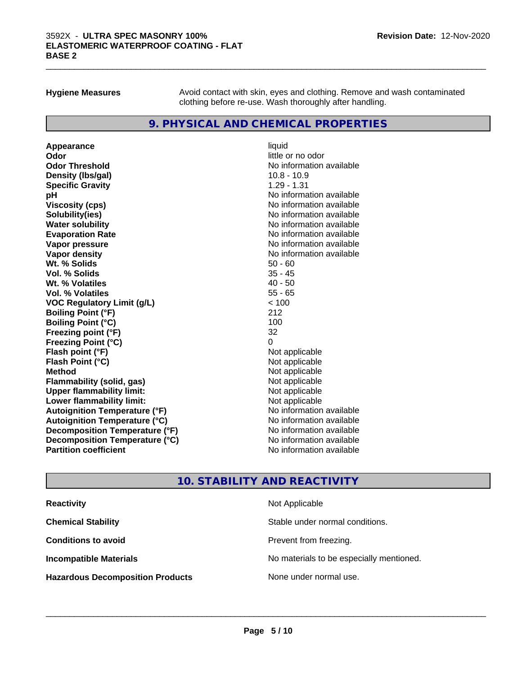**Hygiene Measures** Avoid contact with skin, eyes and clothing. Remove and wash contaminated clothing before re-use. Wash thoroughly after handling.

### **9. PHYSICAL AND CHEMICAL PROPERTIES**

**Appearance** liquid **Odor** little or no odor **Odor Threshold No information available** No information available **Density (Ibs/gal)** 10.8 - 10.9 **Specific Gravity** 1.29 - 1.31 **pH pH**  $\blacksquare$ **Viscosity (cps)** No information available No information available **Solubility(ies)** No information available **Evaporation Rate No information available No information available Vapor pressure** No information available **Vapor density No information available No** information available **Wt. % Solids** 50 - 60 **Vol. % Solids** 35 - 45<br> **Wt. % Volatiles** 35 - 45 **Wt. % Volatiles Vol. % Volatiles** 55 - 65 **VOC Regulatory Limit (g/L)** < 100 **Boiling Point (°F)** 212 **Boiling Point (°C)** 100 **Freezing point (°F)** 32 **Freezing Point (°C)**<br> **Flash point (°F)**<br> **Flash point (°F)**<br> **Point (°F)**<br> **Point (°F)**<br> **Point (°F)**<br> **Point (°F)**<br> **Point (°F) Flash point (°F) Flash Point (°C)** Not applicable **Method** Not applicable **Flammability (solid, gas)** Not applicable<br> **Upper flammability limit:** Not applicable **Upper flammability limit: Lower flammability limit:** Not applicable **Autoignition Temperature (°F)** No information available **Autoignition Temperature (°C)** No information available **Decomposition Temperature (°F)** No information available **Decomposition Temperature (°C)** No information available **Partition coefficient Contract Community No information available** 

# **No information available**

### **10. STABILITY AND REACTIVITY**

| <b>Reactivity</b>                       | Not Applicable                           |
|-----------------------------------------|------------------------------------------|
| <b>Chemical Stability</b>               | Stable under normal conditions.          |
| <b>Conditions to avoid</b>              | Prevent from freezing.                   |
| <b>Incompatible Materials</b>           | No materials to be especially mentioned. |
| <b>Hazardous Decomposition Products</b> | None under normal use.                   |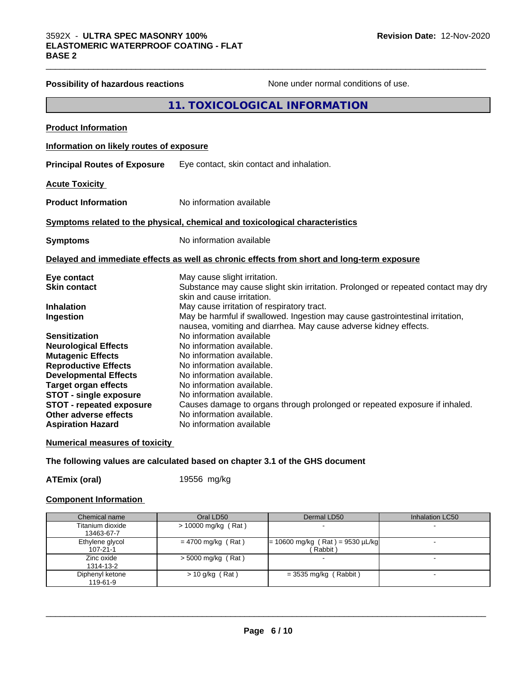| <b>Possibility of hazardous reactions</b> | None under normal conditions of use.                                                                                                              |
|-------------------------------------------|---------------------------------------------------------------------------------------------------------------------------------------------------|
|                                           | 11. TOXICOLOGICAL INFORMATION                                                                                                                     |
| <b>Product Information</b>                |                                                                                                                                                   |
| Information on likely routes of exposure  |                                                                                                                                                   |
| <b>Principal Routes of Exposure</b>       | Eye contact, skin contact and inhalation.                                                                                                         |
| <b>Acute Toxicity</b>                     |                                                                                                                                                   |
| <b>Product Information</b>                | No information available                                                                                                                          |
|                                           | Symptoms related to the physical, chemical and toxicological characteristics                                                                      |
| <b>Symptoms</b>                           | No information available                                                                                                                          |
|                                           | Delayed and immediate effects as well as chronic effects from short and long-term exposure                                                        |
| Eye contact                               | May cause slight irritation.                                                                                                                      |
| <b>Skin contact</b>                       | Substance may cause slight skin irritation. Prolonged or repeated contact may dry<br>skin and cause irritation.                                   |
| <b>Inhalation</b>                         | May cause irritation of respiratory tract.                                                                                                        |
| Ingestion                                 | May be harmful if swallowed. Ingestion may cause gastrointestinal irritation,<br>nausea, vomiting and diarrhea. May cause adverse kidney effects. |
| <b>Sensitization</b>                      | No information available                                                                                                                          |
| <b>Neurological Effects</b>               | No information available.                                                                                                                         |
| <b>Mutagenic Effects</b>                  | No information available.                                                                                                                         |
| <b>Reproductive Effects</b>               | No information available.                                                                                                                         |
| <b>Developmental Effects</b>              | No information available.                                                                                                                         |
| <b>Target organ effects</b>               | No information available.                                                                                                                         |
| <b>STOT - single exposure</b>             | No information available.                                                                                                                         |
| <b>STOT - repeated exposure</b>           | Causes damage to organs through prolonged or repeated exposure if inhaled.                                                                        |
| Other adverse effects                     | No information available.                                                                                                                         |
| <b>Aspiration Hazard</b>                  | No information available                                                                                                                          |

### **Numerical measures of toxicity**

**The following values are calculated based on chapter 3.1 of the GHS document**

**ATEmix (oral)** 19556 mg/kg

### **Component Information**

| Chemical name                     | Oral LD50             | Dermal LD50                                   | Inhalation LC50 |
|-----------------------------------|-----------------------|-----------------------------------------------|-----------------|
| Titanium dioxide<br>13463-67-7    | $>$ 10000 mg/kg (Rat) |                                               |                 |
| Ethylene glycol<br>$107 - 21 - 1$ | $= 4700$ mg/kg (Rat)  | $= 10600$ mg/kg (Rat) = 9530 µL/kg<br>Rabbit) |                 |
| Zinc oxide<br>1314-13-2           | $>$ 5000 mg/kg (Rat)  |                                               |                 |
| Diphenyl ketone<br>119-61-9       | $> 10$ g/kg (Rat)     | $=$ 3535 mg/kg (Rabbit)                       |                 |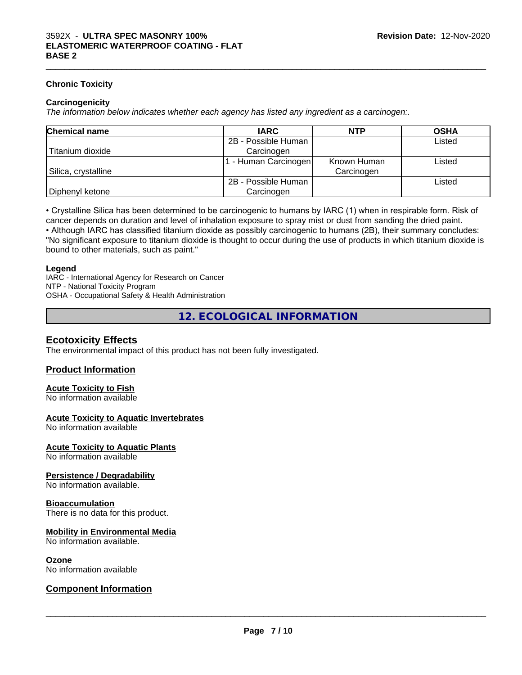### **Chronic Toxicity**

### **Carcinogenicity**

*The information below indicateswhether each agency has listed any ingredient as a carcinogen:.*

| <b>Chemical name</b> | <b>IARC</b>         | <b>NTP</b>  | <b>OSHA</b> |
|----------------------|---------------------|-------------|-------------|
|                      | 2B - Possible Human |             | Listed      |
| Titanium dioxide     | Carcinogen          |             |             |
|                      | - Human Carcinogen  | Known Human | Listed      |
| Silica, crystalline  |                     | Carcinogen  |             |
|                      | 2B - Possible Human |             | Listed      |
| Diphenyl ketone      | Carcinogen          |             |             |

• Crystalline Silica has been determined to be carcinogenic to humans by IARC (1) when in respirable form. Risk of cancer depends on duration and level of inhalation exposure to spray mist or dust from sanding the dried paint.• Although IARC has classified titanium dioxide as possibly carcinogenic to humans (2B), their summary concludes: "No significant exposure to titanium dioxide is thought to occur during the use of products in which titanium dioxide is

bound to other materials, such as paint."

### **Legend**

IARC - International Agency for Research on Cancer NTP - National Toxicity Program OSHA - Occupational Safety & Health Administration

**12. ECOLOGICAL INFORMATION**

### **Ecotoxicity Effects**

The environmental impact of this product has not been fully investigated.

### **Product Information**

### **Acute Toxicity to Fish**

No information available

### **Acute Toxicity to Aquatic Invertebrates**

No information available

### **Acute Toxicity to Aquatic Plants**

No information available

### **Persistence / Degradability**

No information available.

### **Bioaccumulation**

There is no data for this product.

### **Mobility in Environmental Media**

No information available.

### **Ozone**

No information available

### **Component Information**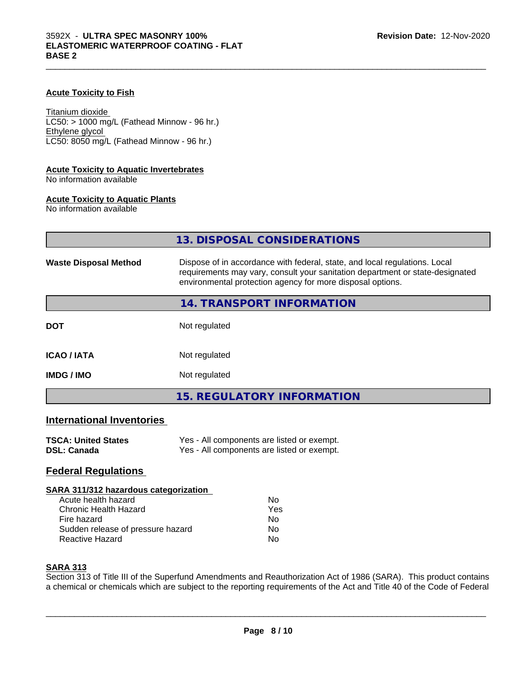### **Acute Toxicity to Fish**

Titanium dioxide  $LC50:$  > 1000 mg/L (Fathead Minnow - 96 hr.) Ethylene glycol LC50: 8050 mg/L (Fathead Minnow - 96 hr.)

### **Acute Toxicity to Aquatic Invertebrates**

No information available

### **Acute Toxicity to Aquatic Plants**

No information available

|                              | 13. DISPOSAL CONSIDERATIONS                                                                                                                                                                                               |
|------------------------------|---------------------------------------------------------------------------------------------------------------------------------------------------------------------------------------------------------------------------|
| <b>Waste Disposal Method</b> | Dispose of in accordance with federal, state, and local regulations. Local<br>requirements may vary, consult your sanitation department or state-designated<br>environmental protection agency for more disposal options. |
|                              | 14. TRANSPORT INFORMATION                                                                                                                                                                                                 |
| <b>DOT</b>                   | Not regulated                                                                                                                                                                                                             |
| <b>ICAO / IATA</b>           | Not regulated                                                                                                                                                                                                             |
| <b>IMDG / IMO</b>            | Not regulated                                                                                                                                                                                                             |
|                              | <b>15. REGULATORY INFORMATION</b>                                                                                                                                                                                         |
| International Inventories    |                                                                                                                                                                                                                           |

### **International Inventories**

| <b>TSCA: United States</b> | Yes - All components are listed or exempt. |
|----------------------------|--------------------------------------------|
| <b>DSL: Canada</b>         | Yes - All components are listed or exempt. |

### **Federal Regulations**

### **SARA 311/312 hazardous categorization**

| Acute health hazard               | Nο  |
|-----------------------------------|-----|
| Chronic Health Hazard             | Yes |
| Fire hazard                       | Nο  |
| Sudden release of pressure hazard | Nο  |
| Reactive Hazard                   | Nο  |

### **SARA 313**

Section 313 of Title III of the Superfund Amendments and Reauthorization Act of 1986 (SARA). This product contains a chemical or chemicals which are subject to the reporting requirements of the Act and Title 40 of the Code of Federal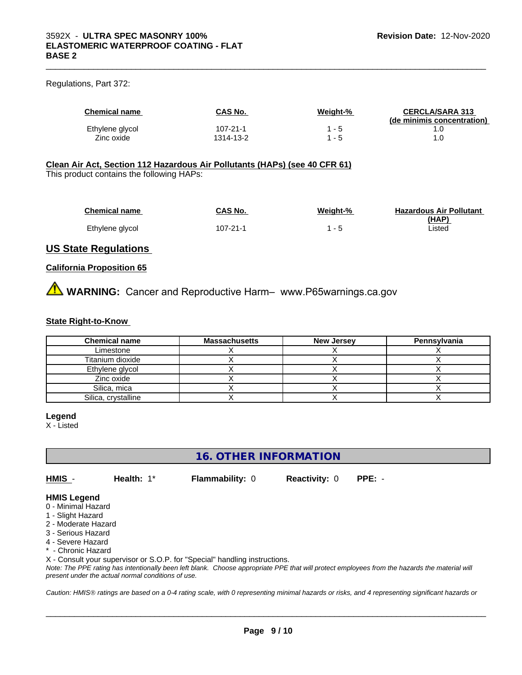### Regulations, Part 372:

| <b>Chemical name</b> | CAS No.   | Weight-% | <b>CERCLA/SARA 313</b><br>(de minimis concentration) |
|----------------------|-----------|----------|------------------------------------------------------|
| Ethylene glycol      | 107-21-1  | - 5      |                                                      |
| Zinc oxide           | 1314-13-2 | - 5      |                                                      |

 $\_$  ,  $\_$  ,  $\_$  ,  $\_$  ,  $\_$  ,  $\_$  ,  $\_$  ,  $\_$  ,  $\_$  ,  $\_$  ,  $\_$  ,  $\_$  ,  $\_$  ,  $\_$  ,  $\_$  ,  $\_$  ,  $\_$  ,  $\_$  ,  $\_$  ,  $\_$  ,  $\_$  ,  $\_$  ,  $\_$  ,  $\_$  ,  $\_$  ,  $\_$  ,  $\_$  ,  $\_$  ,  $\_$  ,  $\_$  ,  $\_$  ,  $\_$  ,  $\_$  ,  $\_$  ,  $\_$  ,  $\_$  ,  $\_$  ,

### **Clean Air Act,Section 112 Hazardous Air Pollutants (HAPs) (see 40 CFR 61)**

This product contains the following HAPs:

| <b>Chemical name</b> | CAS No.  | Weight-% | <b>Hazardous Air Pollutant</b> |
|----------------------|----------|----------|--------------------------------|
|                      |          |          | (HAP)                          |
| Ethylene glycol      | 107-21-1 |          | ∟isted                         |

### **US State Regulations**

### **California Proposition 65**

**AVIMARNING:** Cancer and Reproductive Harm– www.P65warnings.ca.gov

### **State Right-to-Know**

| <b>Chemical name</b> | <b>Massachusetts</b> | <b>New Jersey</b> | Pennsylvania |
|----------------------|----------------------|-------------------|--------------|
| Limestone            |                      |                   |              |
| Titanium dioxide     |                      |                   |              |
| Ethylene glycol      |                      |                   |              |
| Zinc oxide           |                      |                   |              |
| Silica, mica         |                      |                   |              |
| Silica, crystalline  |                      |                   |              |

### **Legend**

X - Listed

### **16. OTHER INFORMATION**

**HMIS** - **Health:** 1\* **Flammability:** 0 **Reactivity:** 0 **PPE:** -

 $\overline{\phantom{a}}$  ,  $\overline{\phantom{a}}$  ,  $\overline{\phantom{a}}$  ,  $\overline{\phantom{a}}$  ,  $\overline{\phantom{a}}$  ,  $\overline{\phantom{a}}$  ,  $\overline{\phantom{a}}$  ,  $\overline{\phantom{a}}$  ,  $\overline{\phantom{a}}$  ,  $\overline{\phantom{a}}$  ,  $\overline{\phantom{a}}$  ,  $\overline{\phantom{a}}$  ,  $\overline{\phantom{a}}$  ,  $\overline{\phantom{a}}$  ,  $\overline{\phantom{a}}$  ,  $\overline{\phantom{a}}$ 

### **HMIS Legend**

- 0 Minimal Hazard
- 1 Slight Hazard
- 2 Moderate Hazard
- 3 Serious Hazard
- 4 Severe Hazard
- \* Chronic Hazard

X - Consult your supervisor or S.O.P. for "Special" handling instructions.

*Note: The PPE rating has intentionally been left blank. Choose appropriate PPE that will protect employees from the hazards the material will present under the actual normal conditions of use.*

*Caution: HMISÒ ratings are based on a 0-4 rating scale, with 0 representing minimal hazards or risks, and 4 representing significant hazards or*